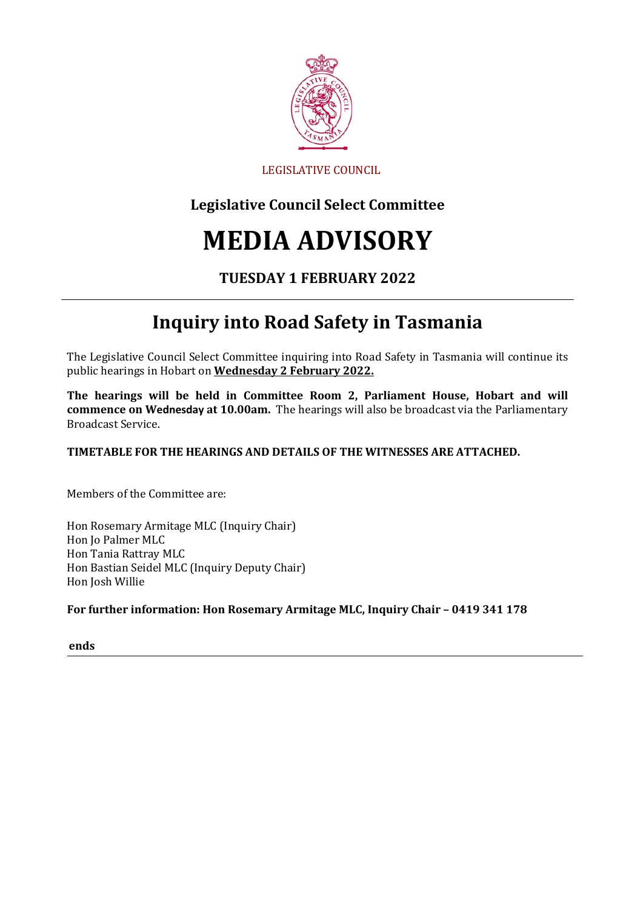

### LEGISLATIVE COUNCIL

## **Legislative Council Select Committee**

# **MEDIA ADVISORY**

### **TUESDAY 1 FEBRUARY 2022**

# **Inquiry into Road Safety in Tasmania**

The Legislative Council Select Committee inquiring into Road Safety in Tasmania will continue its public hearings in Hobart on **Wednesday 2 February 2022.**

**The hearings will be held in Committee Room 2, Parliament House, Hobart and will commence on Wednesday at 10.00am.** The hearings will also be broadcast via the Parliamentary Broadcast Service.

#### **TIMETABLE FOR THE HEARINGS AND DETAILS OF THE WITNESSES ARE ATTACHED.**

Members of the Committee are:

Hon Rosemary Armitage MLC (Inquiry Chair) Hon Jo Palmer MLC Hon Tania Rattray MLC Hon Bastian Seidel MLC (Inquiry Deputy Chair) Hon Josh Willie

#### **For further information: Hon Rosemary Armitage MLC, Inquiry Chair – 0419 341 178**

**ends**